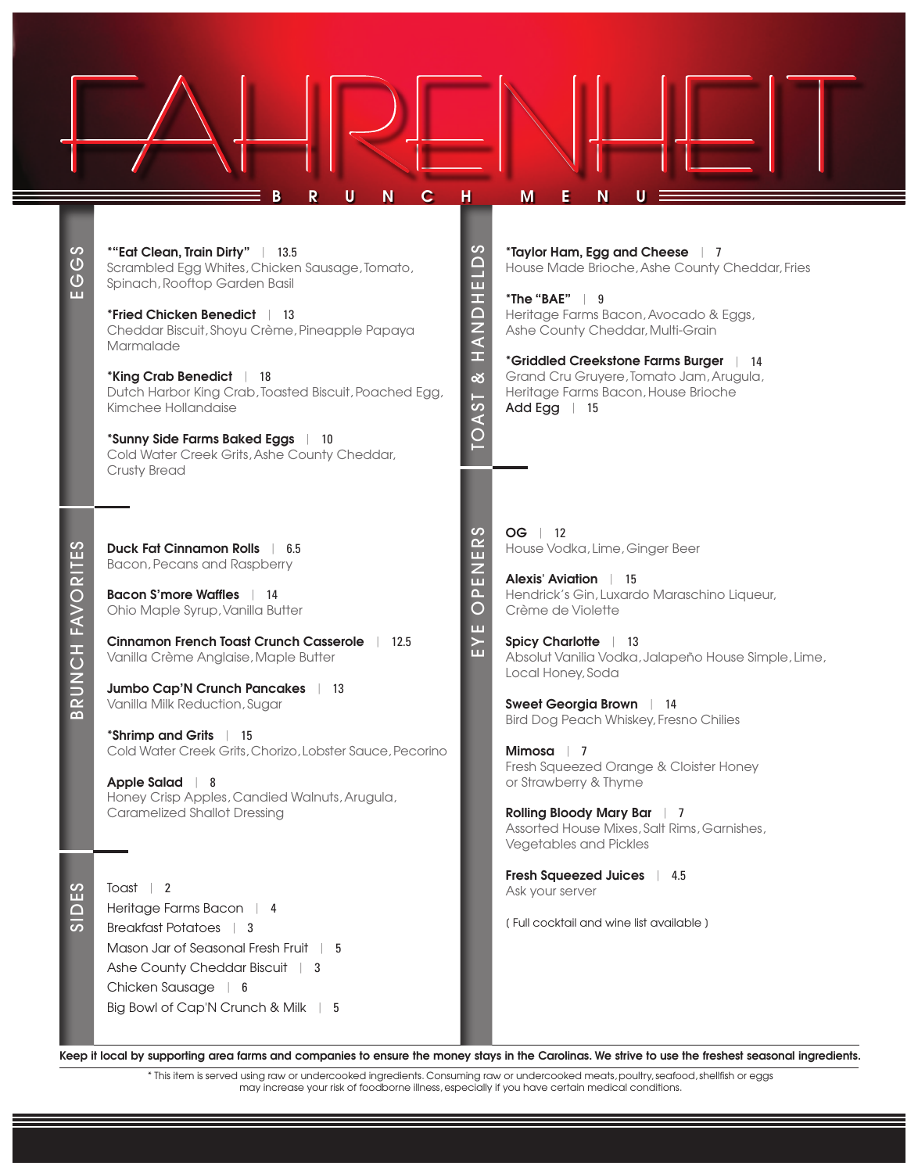| 59<br>$\overline{O}$<br>ш     | $\mathbf C$<br>U<br>R<br>N<br>*"Eat Clean, Train Dirty"   13.5<br>Scrambled Egg Whites, Chicken Sausage, Tomato,<br>Spinach, Rooftop Garden Basil<br>*Fried Chicken Benedict   13<br>Cheddar Biscuit, Shoyu Crème, Pineapple Papaya<br>Marmalade<br>*King Crab Benedict<br>18<br>Dutch Harbor King Crab, Toasted Biscuit, Poached Egg,<br>Kimchee Hollandaise<br>*Sunny Side Farms Baked Eggs<br>10<br>Cold Water Creek Grits, Ashe County Cheddar,<br>Crusty Bread                                                 | н<br>$\mathcal{O}$<br>$\overline{E}$<br>HONDH<br>త<br><b>TOAST</b>    | M<br>N<br>*Taylor Ham, Egg and Cheese   7<br>House Made Brioche, Ashe County Cheddar, Fries<br>*The "BAE" $\vert$ 9<br>Heritage Farms Bacon, Avocado & Eggs,<br>Ashe County Cheddar, Multi-Grain<br>*Griddled Creekstone Farms Burger<br>$\vert$ 14<br>Grand Cru Gruyere, Tomato Jam, Arugula,<br>Heritage Farms Bacon, House Brioche<br>Add Egg   15                                                                                                                                                                                       |
|-------------------------------|---------------------------------------------------------------------------------------------------------------------------------------------------------------------------------------------------------------------------------------------------------------------------------------------------------------------------------------------------------------------------------------------------------------------------------------------------------------------------------------------------------------------|-----------------------------------------------------------------------|---------------------------------------------------------------------------------------------------------------------------------------------------------------------------------------------------------------------------------------------------------------------------------------------------------------------------------------------------------------------------------------------------------------------------------------------------------------------------------------------------------------------------------------------|
| <b>FAVORITES</b><br>舌<br>BRUN | <b>Duck Fat Cinnamon Rolls</b><br>6.5<br>Bacon, Pecans and Raspberry<br><b>Bacon S'more Waffles</b>   14<br>Ohio Maple Syrup, Vanilla Butter<br><b>Cinnamon French Toast Crunch Casserole</b><br>12.5<br>Vanilla Crème Anglaise, Maple Butter<br>Jumbo Cap'N Crunch Pancakes   13<br>Vanilla Milk Reduction, Sugar<br>*Shrimp and Grits   15<br>Cold Water Creek Grits, Chorizo, Lobster Sauce, Pecorino<br>Apple Salad   8<br>Honey Crisp Apples, Candied Walnuts, Arugula,<br><b>Caramelized Shallot Dressing</b> | ပာ<br>$\alpha$<br>ш<br>$\overline{E}$<br>$\Delta$<br>O<br>ш<br>$\geq$ | $OG$   12<br>House Vodka, Lime, Ginger Beer<br><b>Alexis' Aviation</b><br>$\vert$ 15<br>Hendrick's Gin, Luxardo Maraschino Liqueur,<br>Crème de Violette<br><b>Spicy Charlotte</b><br>$\vert$ 13<br>Absolut Vanilia Vodka, Jalapeño House Simple, Lime,<br>Local Honey, Soda<br>Sweet Georgia Brown   14<br>Bird Dog Peach Whiskey, Fresno Chilies<br>Mimosa   7<br>Fresh Squeezed Orange & Cloister Honey<br>or Strawberry & Thyme<br>Rolling Bloody Mary Bar   7<br>Assorted House Mixes, Salt Rims, Garnishes,<br>Vegetables and Pickles |
| ES<br><b>GID</b>              | Toast $\vert$ 2<br>Heritage Farms Bacon   4<br>Breakfast Potatoes   3<br>Mason Jar of Seasonal Fresh Fruit   5<br>Ashe County Cheddar Biscuit   3<br>Chicken Sausage   6<br>Big Bowl of Cap'N Crunch & Milk   5                                                                                                                                                                                                                                                                                                     |                                                                       | Fresh Squeezed Juices   4.5<br>Ask your server<br>(Full cocktail and wine list available)                                                                                                                                                                                                                                                                                                                                                                                                                                                   |

Keep it local by supporting area farms and companies to ensure the money stays in the Carolinas. We strive to use the freshest seasonal ingredients.

\* This item is served using raw or undercooked ingredients. Consuming raw or undercooked meats, poultry, seafood, shellfish or eggs may increase your risk of foodborne illness, especially if you have certain medical conditions.